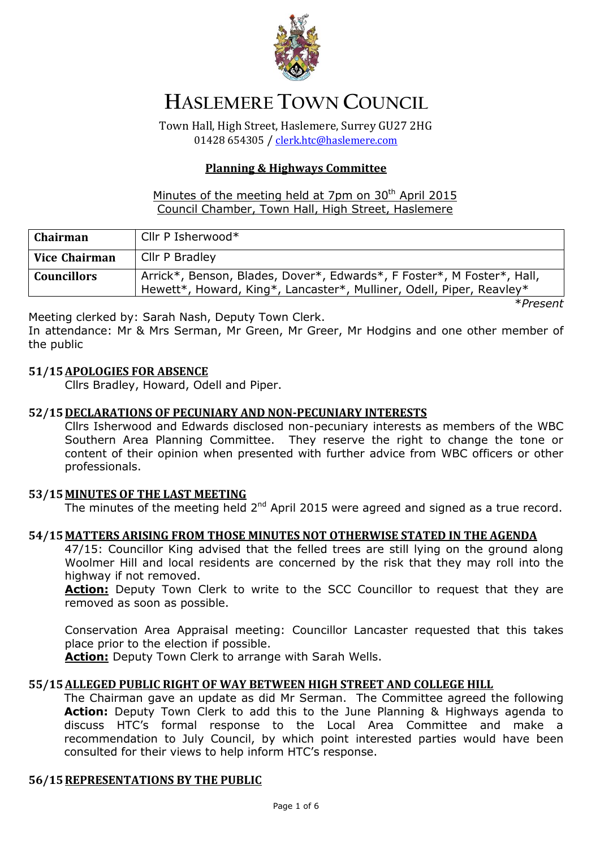

# **HASLEMERE TOWN COUNCIL**

Town Hall, High Street, Haslemere, Surrey GU27 2HG 01428 654305 / [clerk.htc@haslemere.com](mailto:clerk.htc@haslemere.com)

# **Planning & Highways Committee**

## Minutes of the meeting held at 7pm on  $30<sup>th</sup>$  April 2015 Council Chamber, Town Hall, High Street, Haslemere

| <b>Chairman</b> | Cllr P Isherwood*                                                                                                                              |
|-----------------|------------------------------------------------------------------------------------------------------------------------------------------------|
| Vice Chairman   | Cllr P Bradley                                                                                                                                 |
| Councillors     | Arrick*, Benson, Blades, Dover*, Edwards*, F Foster*, M Foster*, Hall,<br>Hewett*, Howard, King*, Lancaster*, Mulliner, Odell, Piper, Reavley* |

\**Present*

Meeting clerked by: Sarah Nash, Deputy Town Clerk.

In attendance: Mr & Mrs Serman, Mr Green, Mr Greer, Mr Hodgins and one other member of the public

## **51/15APOLOGIES FOR ABSENCE**

Cllrs Bradley, Howard, Odell and Piper.

## **52/15DECLARATIONS OF PECUNIARY AND NON-PECUNIARY INTERESTS**

Cllrs Isherwood and Edwards disclosed non-pecuniary interests as members of the WBC Southern Area Planning Committee. They reserve the right to change the tone or content of their opinion when presented with further advice from WBC officers or other professionals.

## **53/15MINUTES OF THE LAST MEETING**

The minutes of the meeting held 2<sup>nd</sup> April 2015 were agreed and signed as a true record.

## **54/15MATTERS ARISING FROM THOSE MINUTES NOT OTHERWISE STATED IN THE AGENDA**

47/15: Councillor King advised that the felled trees are still lying on the ground along Woolmer Hill and local residents are concerned by the risk that they may roll into the highway if not removed.

Action: Deputy Town Clerk to write to the SCC Councillor to request that they are removed as soon as possible.

Conservation Area Appraisal meeting: Councillor Lancaster requested that this takes place prior to the election if possible.

**Action:** Deputy Town Clerk to arrange with Sarah Wells.

## **55/15ALLEGED PUBLIC RIGHT OF WAY BETWEEN HIGH STREET AND COLLEGE HILL**

The Chairman gave an update as did Mr Serman. The Committee agreed the following **Action:** Deputy Town Clerk to add this to the June Planning & Highways agenda to discuss HTC's formal response to the Local Area Committee and make a recommendation to July Council, by which point interested parties would have been consulted for their views to help inform HTC's response.

## **56/15REPRESENTATIONS BY THE PUBLIC**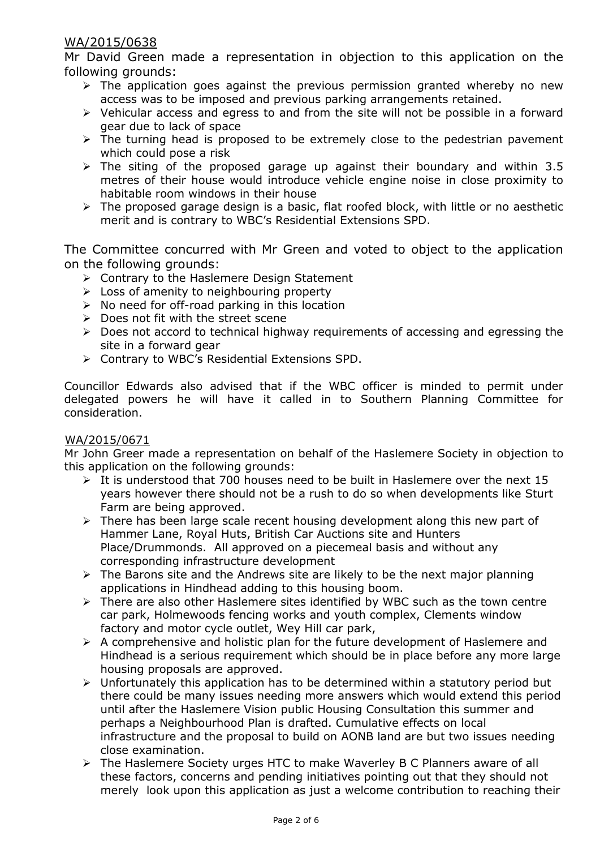# WA/2015/0638

Mr David Green made a representation in objection to this application on the following grounds:

- $\triangleright$  The application goes against the previous permission granted whereby no new access was to be imposed and previous parking arrangements retained.
- $\triangleright$  Vehicular access and egress to and from the site will not be possible in a forward gear due to lack of space
- $\triangleright$  The turning head is proposed to be extremely close to the pedestrian pavement which could pose a risk
- $\triangleright$  The siting of the proposed garage up against their boundary and within 3.5 metres of their house would introduce vehicle engine noise in close proximity to habitable room windows in their house
- $\triangleright$  The proposed garage design is a basic, flat roofed block, with little or no aesthetic merit and is contrary to WBC's Residential Extensions SPD.

The Committee concurred with Mr Green and voted to object to the application on the following grounds:

- ▶ Contrary to the Haslemere Design Statement
- $\triangleright$  Loss of amenity to neighbouring property
- $\triangleright$  No need for off-road parking in this location
- $\triangleright$  Does not fit with the street scene
- $\triangleright$  Does not accord to technical highway requirements of accessing and egressing the site in a forward gear
- Contrary to WBC's Residential Extensions SPD.

Councillor Edwards also advised that if the WBC officer is minded to permit under delegated powers he will have it called in to Southern Planning Committee for consideration.

## WA/2015/0671

Mr John Greer made a representation on behalf of the Haslemere Society in objection to this application on the following grounds:

- $\triangleright$  It is understood that 700 houses need to be built in Haslemere over the next 15 years however there should not be a rush to do so when developments like Sturt Farm are being approved.
- $\triangleright$  There has been large scale recent housing development along this new part of Hammer Lane, Royal Huts, British Car Auctions site and Hunters Place/Drummonds. All approved on a piecemeal basis and without any corresponding infrastructure development
- $\triangleright$  The Barons site and the Andrews site are likely to be the next major planning applications in Hindhead adding to this housing boom.
- $\triangleright$  There are also other Haslemere sites identified by WBC such as the town centre car park, Holmewoods fencing works and youth complex, Clements window factory and motor cycle outlet, Wey Hill car park,
- $\triangleright$  A comprehensive and holistic plan for the future development of Haslemere and Hindhead is a serious requirement which should be in place before any more large housing proposals are approved.
- $\triangleright$  Unfortunately this application has to be determined within a statutory period but there could be many issues needing more answers which would extend this period until after the Haslemere Vision public Housing Consultation this summer and perhaps a Neighbourhood Plan is drafted. Cumulative effects on local infrastructure and the proposal to build on AONB land are but two issues needing close examination.
- The Haslemere Society urges HTC to make Waverley B C Planners aware of all these factors, concerns and pending initiatives pointing out that they should not merely look upon this application as just a welcome contribution to reaching their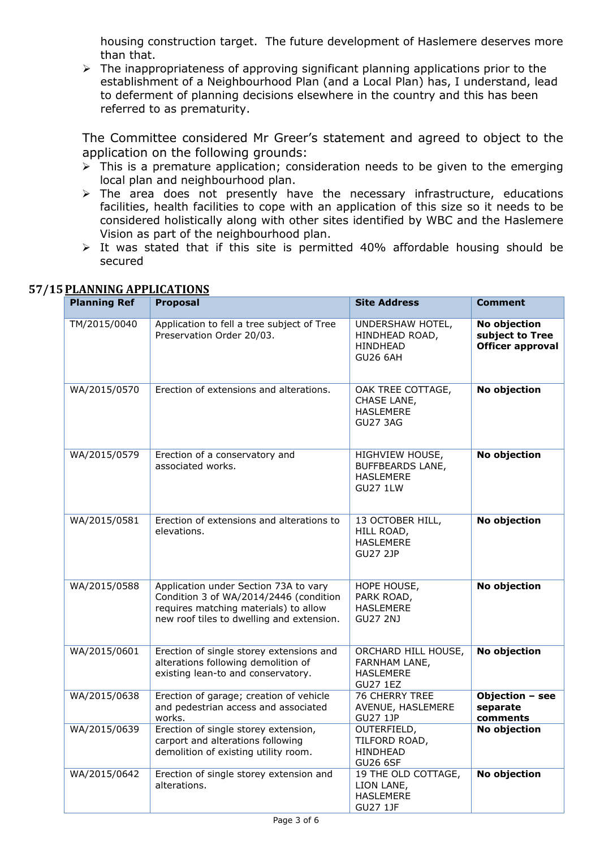housing construction target. The future development of Haslemere deserves more than that.

 $\triangleright$  The inappropriateness of approving significant planning applications prior to the establishment of a Neighbourhood Plan (and a Local Plan) has, I understand, lead to deferment of planning decisions elsewhere in the country and this has been referred to as prematurity.

The Committee considered Mr Greer's statement and agreed to object to the application on the following grounds:

- $\triangleright$  This is a premature application; consideration needs to be given to the emerging local plan and neighbourhood plan.
- $\triangleright$  The area does not presently have the necessary infrastructure, educations facilities, health facilities to cope with an application of this size so it needs to be considered holistically along with other sites identified by WBC and the Haslemere Vision as part of the neighbourhood plan.
- $\triangleright$  It was stated that if this site is permitted 40% affordable housing should be secured

| <b>Planning Ref</b> | <b>Proposal</b>                                                                                                                                                       | <b>Site Address</b>                                                               | <b>Comment</b>                                      |
|---------------------|-----------------------------------------------------------------------------------------------------------------------------------------------------------------------|-----------------------------------------------------------------------------------|-----------------------------------------------------|
| TM/2015/0040        | Application to fell a tree subject of Tree<br>Preservation Order 20/03.                                                                                               | UNDERSHAW HOTEL,<br>HINDHEAD ROAD,<br><b>HINDHEAD</b><br><b>GU26 6AH</b>          | No objection<br>subject to Tree<br>Officer approval |
| WA/2015/0570        | Erection of extensions and alterations.                                                                                                                               | OAK TREE COTTAGE,<br>CHASE LANE,<br><b>HASLEMERE</b><br><b>GU27 3AG</b>           | No objection                                        |
| WA/2015/0579        | Erection of a conservatory and<br>associated works.                                                                                                                   | HIGHVIEW HOUSE,<br><b>BUFFBEARDS LANE,</b><br><b>HASLEMERE</b><br><b>GU27 1LW</b> | No objection                                        |
| WA/2015/0581        | Erection of extensions and alterations to<br>elevations.                                                                                                              | 13 OCTOBER HILL,<br>HILL ROAD,<br><b>HASLEMERE</b><br><b>GU27 2JP</b>             | No objection                                        |
| WA/2015/0588        | Application under Section 73A to vary<br>Condition 3 of WA/2014/2446 (condition<br>requires matching materials) to allow<br>new roof tiles to dwelling and extension. | HOPE HOUSE,<br>PARK ROAD,<br><b>HASLEMERE</b><br><b>GU27 2NJ</b>                  | No objection                                        |
| WA/2015/0601        | Erection of single storey extensions and<br>alterations following demolition of<br>existing lean-to and conservatory.                                                 | ORCHARD HILL HOUSE,<br>FARNHAM LANE,<br><b>HASLEMERE</b><br><b>GU27 1EZ</b>       | No objection                                        |
| WA/2015/0638        | Erection of garage; creation of vehicle<br>and pedestrian access and associated<br>works.                                                                             | 76 CHERRY TREE<br>AVENUE, HASLEMERE<br><b>GU27 1JP</b>                            | Objection - see<br>separate<br>comments             |
| WA/2015/0639        | Erection of single storey extension,<br>carport and alterations following<br>demolition of existing utility room.                                                     | OUTERFIELD,<br>TILFORD ROAD,<br>HINDHEAD<br><b>GU26 6SF</b>                       | No objection                                        |
| WA/2015/0642        | Erection of single storey extension and<br>alterations.                                                                                                               | 19 THE OLD COTTAGE,<br>LION LANE,<br><b>HASLEMERE</b><br><b>GU27 1JF</b>          | No objection                                        |

# **57/15PLANNING APPLICATIONS**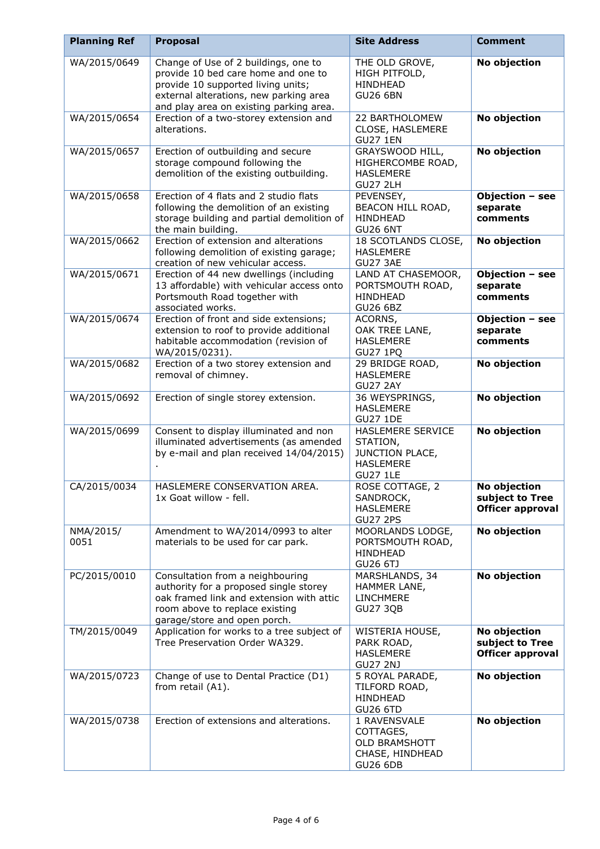| <b>Planning Ref</b> | <b>Proposal</b>                                                                                                                                                                                        | <b>Site Address</b>                                                                     | <b>Comment</b>                                                    |
|---------------------|--------------------------------------------------------------------------------------------------------------------------------------------------------------------------------------------------------|-----------------------------------------------------------------------------------------|-------------------------------------------------------------------|
| WA/2015/0649        | Change of Use of 2 buildings, one to<br>provide 10 bed care home and one to<br>provide 10 supported living units;<br>external alterations, new parking area<br>and play area on existing parking area. | THE OLD GROVE,<br>HIGH PITFOLD,<br><b>HINDHEAD</b><br><b>GU26 6BN</b>                   | No objection                                                      |
| WA/2015/0654        | Erection of a two-storey extension and<br>alterations.                                                                                                                                                 | 22 BARTHOLOMEW<br>CLOSE, HASLEMERE<br><b>GU27 1EN</b>                                   | No objection                                                      |
| WA/2015/0657        | Erection of outbuilding and secure<br>storage compound following the<br>demolition of the existing outbuilding.                                                                                        | GRAYSWOOD HILL,<br>HIGHERCOMBE ROAD,<br><b>HASLEMERE</b><br><b>GU27 2LH</b>             | No objection                                                      |
| WA/2015/0658        | Erection of 4 flats and 2 studio flats<br>following the demolition of an existing<br>storage building and partial demolition of<br>the main building.                                                  | PEVENSEY,<br>BEACON HILL ROAD,<br>HINDHEAD<br><b>GU26 6NT</b>                           | Objection - see<br>separate<br>comments                           |
| WA/2015/0662        | Erection of extension and alterations<br>following demolition of existing garage;<br>creation of new vehicular access.                                                                                 | 18 SCOTLANDS CLOSE,<br><b>HASLEMERE</b><br><b>GU27 3AE</b>                              | No objection                                                      |
| WA/2015/0671        | Erection of 44 new dwellings (including<br>13 affordable) with vehicular access onto<br>Portsmouth Road together with<br>associated works.                                                             | LAND AT CHASEMOOR,<br>PORTSMOUTH ROAD,<br><b>HINDHEAD</b><br><b>GU26 6BZ</b>            | Objection - see<br>separate<br>comments                           |
| WA/2015/0674        | Erection of front and side extensions;<br>extension to roof to provide additional<br>habitable accommodation (revision of<br>WA/2015/0231).                                                            | ACORNS,<br>OAK TREE LANE,<br><b>HASLEMERE</b><br><b>GU27 1PQ</b>                        | Objection - see<br>separate<br>comments                           |
| WA/2015/0682        | Erection of a two storey extension and<br>removal of chimney.                                                                                                                                          | 29 BRIDGE ROAD,<br><b>HASLEMERE</b><br><b>GU27 2AY</b>                                  | No objection                                                      |
| WA/2015/0692        | Erection of single storey extension.                                                                                                                                                                   | 36 WEYSPRINGS,<br><b>HASLEMERE</b><br><b>GU27 1DE</b>                                   | No objection                                                      |
| WA/2015/0699        | Consent to display illuminated and non<br>illuminated advertisements (as amended<br>by e-mail and plan received 14/04/2015)                                                                            | HASLEMERE SERVICE<br>STATION,<br>JUNCTION PLACE,<br><b>HASLEMERE</b><br><b>GU27 1LE</b> | No objection                                                      |
| CA/2015/0034        | HASLEMERE CONSERVATION AREA.<br>1x Goat willow - fell.                                                                                                                                                 | ROSE COTTAGE, 2<br>SANDROCK,<br><b>HASLEMERE</b><br><b>GU27 2PS</b>                     | <b>No objection</b><br>subject to Tree<br><b>Officer approval</b> |
| NMA/2015/<br>0051   | Amendment to WA/2014/0993 to alter<br>materials to be used for car park.                                                                                                                               | MOORLANDS LODGE,<br>PORTSMOUTH ROAD,<br>HINDHEAD<br>GU26 6TJ                            | No objection                                                      |
| PC/2015/0010        | Consultation from a neighbouring<br>authority for a proposed single storey<br>oak framed link and extension with attic<br>room above to replace existing<br>garage/store and open porch.               | MARSHLANDS, 34<br>HAMMER LANE,<br><b>LINCHMERE</b><br><b>GU27 3QB</b>                   | No objection                                                      |
| TM/2015/0049        | Application for works to a tree subject of<br>Tree Preservation Order WA329.                                                                                                                           | WISTERIA HOUSE,<br>PARK ROAD,<br><b>HASLEMERE</b><br><b>GU27 2NJ</b>                    | No objection<br>subject to Tree<br><b>Officer approval</b>        |
| WA/2015/0723        | Change of use to Dental Practice (D1)<br>from retail (A1).                                                                                                                                             | 5 ROYAL PARADE,<br>TILFORD ROAD,<br>HINDHEAD<br><b>GU26 6TD</b>                         | No objection                                                      |
| WA/2015/0738        | Erection of extensions and alterations.                                                                                                                                                                | 1 RAVENSVALE<br>COTTAGES,<br><b>OLD BRAMSHOTT</b><br>CHASE, HINDHEAD<br><b>GU26 6DB</b> | No objection                                                      |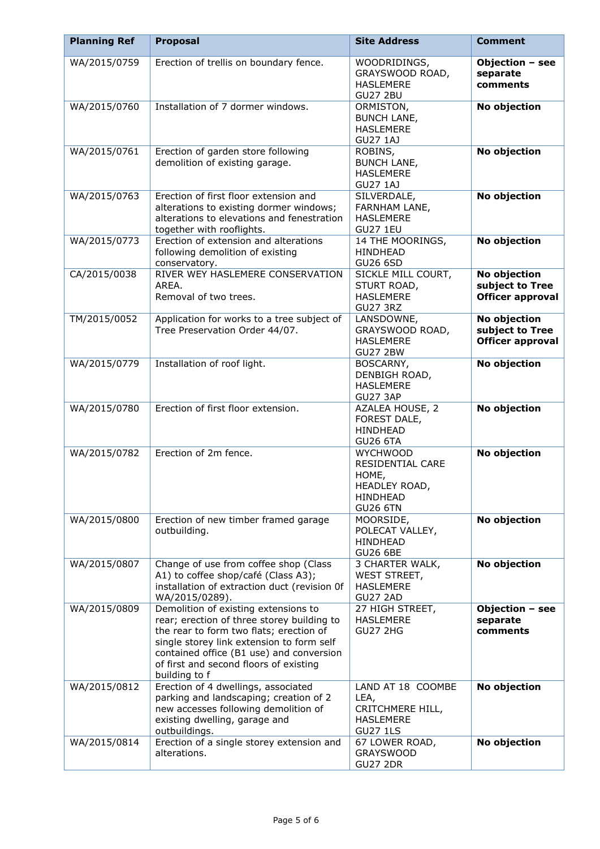| <b>Planning Ref</b> | <b>Proposal</b>                                                                                                                                                                                                                                                                   | <b>Site Address</b>                                                                          | <b>Comment</b>                                             |
|---------------------|-----------------------------------------------------------------------------------------------------------------------------------------------------------------------------------------------------------------------------------------------------------------------------------|----------------------------------------------------------------------------------------------|------------------------------------------------------------|
| WA/2015/0759        | Erection of trellis on boundary fence.                                                                                                                                                                                                                                            | WOODRIDINGS,<br>GRAYSWOOD ROAD,<br><b>HASLEMERE</b><br><b>GU27 2BU</b>                       | Objection - see<br>separate<br>comments                    |
| WA/2015/0760        | Installation of 7 dormer windows.                                                                                                                                                                                                                                                 | ORMISTON,<br><b>BUNCH LANE,</b><br><b>HASLEMERE</b><br><b>GU27 1AJ</b>                       | No objection                                               |
| WA/2015/0761        | Erection of garden store following<br>demolition of existing garage.                                                                                                                                                                                                              | ROBINS,<br><b>BUNCH LANE,</b><br><b>HASLEMERE</b><br><b>GU27 1AJ</b>                         | No objection                                               |
| WA/2015/0763        | Erection of first floor extension and<br>alterations to existing dormer windows;<br>alterations to elevations and fenestration<br>together with rooflights.                                                                                                                       | SILVERDALE,<br>FARNHAM LANE,<br><b>HASLEMERE</b><br><b>GU27 1EU</b>                          | No objection                                               |
| WA/2015/0773        | Erection of extension and alterations<br>following demolition of existing<br>conservatory.                                                                                                                                                                                        | 14 THE MOORINGS,<br><b>HINDHEAD</b><br><b>GU26 6SD</b>                                       | No objection                                               |
| CA/2015/0038        | RIVER WEY HASLEMERE CONSERVATION<br>AREA.<br>Removal of two trees.                                                                                                                                                                                                                | SICKLE MILL COURT,<br>STURT ROAD,<br><b>HASLEMERE</b><br><b>GU27 3RZ</b>                     | No objection<br>subject to Tree<br><b>Officer approval</b> |
| TM/2015/0052        | Application for works to a tree subject of<br>Tree Preservation Order 44/07.                                                                                                                                                                                                      | LANSDOWNE,<br>GRAYSWOOD ROAD,<br><b>HASLEMERE</b><br><b>GU27 2BW</b>                         | No objection<br>subject to Tree<br><b>Officer approval</b> |
| WA/2015/0779        | Installation of roof light.                                                                                                                                                                                                                                                       | BOSCARNY,<br>DENBIGH ROAD,<br><b>HASLEMERE</b><br>GU27 3AP                                   | No objection                                               |
| WA/2015/0780        | Erection of first floor extension.                                                                                                                                                                                                                                                | AZALEA HOUSE, 2<br>FOREST DALE,<br>HINDHEAD<br><b>GU26 6TA</b>                               | No objection                                               |
| WA/2015/0782        | Erection of 2m fence.                                                                                                                                                                                                                                                             | <b>WYCHWOOD</b><br>RESIDENTIAL CARE<br>HOME,<br>HEADLEY ROAD,<br>HINDHEAD<br><b>GU26 6TN</b> | No objection                                               |
| WA/2015/0800        | Erection of new timber framed garage<br>outbuilding.                                                                                                                                                                                                                              | MOORSIDE,<br>POLECAT VALLEY,<br>HINDHEAD<br><b>GU26 6BE</b>                                  | No objection                                               |
| WA/2015/0807        | Change of use from coffee shop (Class<br>A1) to coffee shop/café (Class A3);<br>installation of extraction duct (revision Of<br>WA/2015/0289).                                                                                                                                    | 3 CHARTER WALK,<br>WEST STREET,<br><b>HASLEMERE</b><br><b>GU27 2AD</b>                       | No objection                                               |
| WA/2015/0809        | Demolition of existing extensions to<br>rear; erection of three storey building to<br>the rear to form two flats; erection of<br>single storey link extension to form self<br>contained office (B1 use) and conversion<br>of first and second floors of existing<br>building to f | 27 HIGH STREET,<br><b>HASLEMERE</b><br><b>GU27 2HG</b>                                       | Objection - see<br>separate<br>comments                    |
| WA/2015/0812        | Erection of 4 dwellings, associated<br>parking and landscaping; creation of 2<br>new accesses following demolition of<br>existing dwelling, garage and<br>outbuildings.                                                                                                           | LAND AT 18 COOMBE<br>LEA,<br>CRITCHMERE HILL,<br><b>HASLEMERE</b><br><b>GU27 1LS</b>         | No objection                                               |
| WA/2015/0814        | Erection of a single storey extension and<br>alterations.                                                                                                                                                                                                                         | 67 LOWER ROAD,<br><b>GRAYSWOOD</b><br><b>GU27 2DR</b>                                        | No objection                                               |